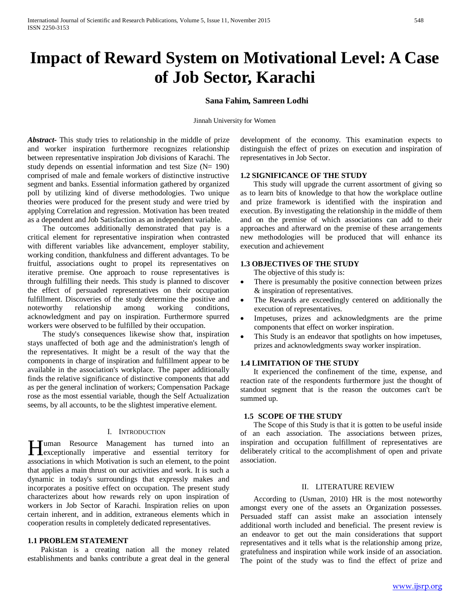# **Impact of Reward System on Motivational Level: A Case of Job Sector, Karachi**

## **Sana Fahim, Samreen Lodhi**

Jinnah University for Women

*Abstract***-** This study tries to relationship in the middle of prize and worker inspiration furthermore recognizes relationship between representative inspiration Job divisions of Karachi. The study depends on essential information and test Size  $(N= 190)$ comprised of male and female workers of distinctive instructive segment and banks. Essential information gathered by organized poll by utilizing kind of diverse methodologies. Two unique theories were produced for the present study and were tried by applying Correlation and regression. Motivation has been treated as a dependent and Job Satisfaction as an independent variable.

 The outcomes additionally demonstrated that pay is a critical element for representative inspiration when contrasted with different variables like advancement, employer stability, working condition, thankfulness and different advantages. To be fruitful, associations ought to propel its representatives on iterative premise. One approach to rouse representatives is through fulfilling their needs. This study is planned to discover the effect of persuaded representatives on their occupation fulfillment. Discoveries of the study determine the positive and noteworthy relationship among working conditions, acknowledgment and pay on inspiration. Furthermore spurred workers were observed to be fulfilled by their occupation.

 The study's consequences likewise show that, inspiration stays unaffected of both age and the administration's length of the representatives. It might be a result of the way that the components in charge of inspiration and fulfillment appear to be available in the association's workplace. The paper additionally finds the relative significance of distinctive components that add as per the general inclination of workers; Compensation Package rose as the most essential variable, though the Self Actualization seems, by all accounts, to be the slightest imperative element.

#### I. INTRODUCTION

**Tuman Resource Management has turned into an** Human Resource Management has turned into an executionally imperative and essential territory for associations in which Motivation is such an element, to the point that applies a main thrust on our activities and work. It is such a dynamic in today's surroundings that expressly makes and incorporates a positive effect on occupation. The present study characterizes about how rewards rely on upon inspiration of workers in Job Sector of Karachi. Inspiration relies on upon certain inherent, and in addition, extraneous elements which in cooperation results in completely dedicated representatives.

#### **1.1 PROBLEM STATEMENT**

 Pakistan is a creating nation all the money related establishments and banks contribute a great deal in the general

development of the economy. This examination expects to distinguish the effect of prizes on execution and inspiration of representatives in Job Sector.

#### **1.2 SIGNIFICANCE OF THE STUDY**

 This study will upgrade the current assortment of giving so as to learn bits of knowledge to that how the workplace outline and prize framework is identified with the inspiration and execution. By investigating the relationship in the middle of them and on the premise of which associations can add to their approaches and afterward on the premise of these arrangements new methodologies will be produced that will enhance its execution and achievement

### **1.3 OBJECTIVES OF THE STUDY**

The objective of this study is:

- There is presumably the positive connection between prizes & inspiration of representatives.
- The Rewards are exceedingly centered on additionally the execution of representatives.
- Impetuses, prizes and acknowledgments are the prime components that effect on worker inspiration.
- This Study is an endeavor that spotlights on how impetuses, prizes and acknowledgments sway worker inspiration.

### **1.4 LIMITATION OF THE STUDY**

 It experienced the confinement of the time, expense, and reaction rate of the respondents furthermore just the thought of standout segment that is the reason the outcomes can't be summed up.

#### **1.5 SCOPE OF THE STUDY**

 The Scope of this Study is that it is gotten to be useful inside of an each association. The associations between prizes, inspiration and occupation fulfillment of representatives are deliberately critical to the accomplishment of open and private association.

#### II. LITERATURE REVIEW

 According to (Usman, 2010) HR is the most noteworthy amongst every one of the assets an Organization possesses. Persuaded staff can assist make an association intensely additional worth included and beneficial. The present review is an endeavor to get out the main considerations that support representatives and it tells what is the relationship among prize, gratefulness and inspiration while work inside of an association. The point of the study was to find the effect of prize and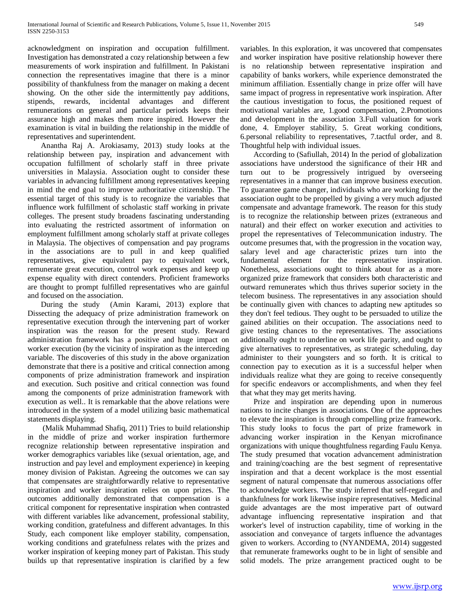acknowledgment on inspiration and occupation fulfillment. Investigation has demonstrated a cozy relationship between a few measurements of work inspiration and fulfillment. In Pakistani connection the representatives imagine that there is a minor possibility of thankfulness from the manager on making a decent showing. On the other side the intermittently pay additions, stipends, rewards, incidental advantages and different remunerations on general and particular periods keeps their assurance high and makes them more inspired. However the examination is vital in building the relationship in the middle of representatives and superintendent.

 Anantha Raj A. Arokiasamy, 2013) study looks at the relationship between pay, inspiration and advancement with occupation fulfillment of scholarly staff in three private universities in Malaysia. Association ought to consider these variables in advancing fulfillment among representatives keeping in mind the end goal to improve authoritative citizenship. The essential target of this study is to recognize the variables that influence work fulfillment of scholastic staff working in private colleges. The present study broadens fascinating understanding into evaluating the restricted assortment of information on employment fulfillment among scholarly staff at private colleges in Malaysia. The objectives of compensation and pay programs in the associations are to pull in and keep qualified representatives, give equivalent pay to equivalent work, remunerate great execution, control work expenses and keep up expense equality with direct contenders. Proficient frameworks are thought to prompt fulfilled representatives who are gainful and focused on the association.

 During the study (Amin Karami, 2013) explore that Dissecting the adequacy of prize administration framework on representative execution through the intervening part of worker inspiration was the reason for the present study. Reward administration framework has a positive and huge impact on worker execution (by the vicinity of inspiration as the interceding variable. The discoveries of this study in the above organization demonstrate that there is a positive and critical connection among components of prize administration framework and inspiration and execution. Such positive and critical connection was found among the components of prize administration framework with execution as well.. It is remarkable that the above relations were introduced in the system of a model utilizing basic mathematical statements displaying.

 (Malik Muhammad Shafiq, 2011) Tries to build relationship in the middle of prize and worker inspiration furthermore recognize relationship between representative inspiration and worker demographics variables like (sexual orientation, age, and instruction and pay level and employment experience) in keeping money division of Pakistan. Agreeing the outcomes we can say that compensates are straightforwardly relative to representative inspiration and worker inspiration relies on upon prizes. The outcomes additionally demonstrated that compensation is a critical component for representative inspiration when contrasted with different variables like advancement, professional stability, working condition, gratefulness and different advantages. In this Study, each component like employer stability, compensation, working conditions and gratefulness relates with the prizes and worker inspiration of keeping money part of Pakistan. This study builds up that representative inspiration is clarified by a few

variables. In this exploration, it was uncovered that compensates and worker inspiration have positive relationship however there is no relationship between representative inspiration and capability of banks workers, while experience demonstrated the minimum affiliation. Essentially change in prize offer will have same impact of progress in representative work inspiration. After the cautious investigation to focus, the positioned request of motivational variables are, 1.good compensation, 2.Promotions and development in the association 3.Full valuation for work done, 4. Employer stability, 5. Great working conditions, 6.personal reliability to representatives, 7.tactful order, and 8. Thoughtful help with individual issues.

 According to (Safiullah, 2014) In the period of globalization associations have understood the significance of their HR and turn out to be progressively intrigued by overseeing representatives in a manner that can improve business execution. To guarantee game changer, individuals who are working for the association ought to be propelled by giving a very much adjusted compensate and advantage framework. The reason for this study is to recognize the relationship between prizes (extraneous and natural) and their effect on worker execution and activities to propel the representatives of Telecommunication industry. The outcome presumes that, with the progression in the vocation way, salary level and age characteristic prizes turn into the fundamental element for the representative inspiration. Nonetheless, associations ought to think about for as a more organized prize framework that considers both characteristic and outward remunerates which thus thrives superior society in the telecom business. The representatives in any association should be continually given with chances to adapting new aptitudes so they don't feel tedious. They ought to be persuaded to utilize the gained abilities on their occupation. The associations need to give testing chances to the representatives. The associations additionally ought to underline on work life parity, and ought to give alternatives to representatives, as strategic scheduling, day administer to their youngsters and so forth. It is critical to connection pay to execution as it is a successful helper when individuals realize what they are going to receive consequently for specific endeavors or accomplishments, and when they feel that what they may get merits having.

 Prize and inspiration are depending upon in numerous nations to incite changes in associations. One of the approaches to elevate the inspiration is through compelling prize framework. This study looks to focus the part of prize framework in advancing worker inspiration in the Kenyan microfinance organizations with unique thoughtfulness regarding Faulu Kenya. The study presumed that vocation advancement administration and training/coaching are the best segment of representative inspiration and that a decent workplace is the most essential segment of natural compensate that numerous associations offer to acknowledge workers. The study inferred that self-regard and thankfulness for work likewise inspire representatives. Medicinal guide advantages are the most imperative part of outward advantage influencing representative inspiration and that worker's level of instruction capability, time of working in the association and conveyance of targets influence the advantages given to workers. According to (NYANDEMA, 2014) suggested that remunerate frameworks ought to be in light of sensible and solid models. The prize arrangement practiced ought to be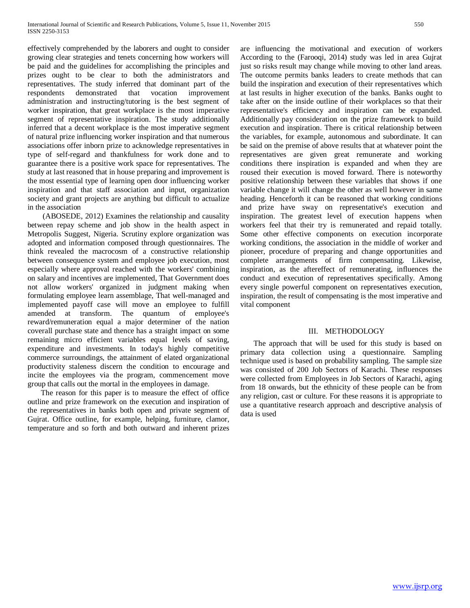effectively comprehended by the laborers and ought to consider growing clear strategies and tenets concerning how workers will be paid and the guidelines for accomplishing the principles and prizes ought to be clear to both the administrators and representatives. The study inferred that dominant part of the respondents demonstrated that vocation improvement administration and instructing/tutoring is the best segment of worker inspiration, that great workplace is the most imperative segment of representative inspiration. The study additionally inferred that a decent workplace is the most imperative segment of natural prize influencing worker inspiration and that numerous associations offer inborn prize to acknowledge representatives in type of self-regard and thankfulness for work done and to guarantee there is a positive work space for representatives. The study at last reasoned that in house preparing and improvement is the most essential type of learning open door influencing worker inspiration and that staff association and input, organization society and grant projects are anything but difficult to actualize in the association

 (ABOSEDE, 2012) Examines the relationship and causality between repay scheme and job show in the health aspect in Metropolis Suggest, Nigeria. Scrutiny explore organization was adopted and information composed through questionnaires. The think revealed the macrocosm of a constructive relationship between consequence system and employee job execution, most especially where approval reached with the workers' combining on salary and incentives are implemented, That Government does not allow workers' organized in judgment making when formulating employee learn assemblage, That well-managed and implemented payoff case will move an employee to fulfill amended at transform. The quantum of employee's reward/remuneration equal a major determiner of the nation coverall purchase state and thence has a straight impact on some remaining micro efficient variables equal levels of saving, expenditure and investments. In today's highly competitive commerce surroundings, the attainment of elated organizational productivity staleness discern the condition to encourage and incite the employees via the program, commencement move group that calls out the mortal in the employees in damage.

 The reason for this paper is to measure the effect of office outline and prize framework on the execution and inspiration of the representatives in banks both open and private segment of Gujrat. Office outline, for example, helping, furniture, clamor, temperature and so forth and both outward and inherent prizes are influencing the motivational and execution of workers According to the (Farooqi, 2014) study was led in area Gujrat just so risks result may change while moving to other land areas. The outcome permits banks leaders to create methods that can build the inspiration and execution of their representatives which at last results in higher execution of the banks. Banks ought to take after on the inside outline of their workplaces so that their representative's efficiency and inspiration can be expanded. Additionally pay consideration on the prize framework to build execution and inspiration. There is critical relationship between the variables, for example, autonomous and subordinate. It can be said on the premise of above results that at whatever point the representatives are given great remunerate and working conditions there inspiration is expanded and when they are roused their execution is moved forward. There is noteworthy positive relationship between these variables that shows if one variable change it will change the other as well however in same heading. Henceforth it can be reasoned that working conditions and prize have sway on representative's execution and inspiration. The greatest level of execution happens when workers feel that their try is remunerated and repaid totally. Some other effective components on execution incorporate working conditions, the association in the middle of worker and pioneer, procedure of preparing and change opportunities and complete arrangements of firm compensating. Likewise, inspiration, as the aftereffect of remunerating, influences the conduct and execution of representatives specifically. Among every single powerful component on representatives execution, inspiration, the result of compensating is the most imperative and vital component

## III. METHODOLOGY

 The approach that will be used for this study is based on primary data collection using a questionnaire. Sampling technique used is based on probability sampling. The sample size was consisted of 200 Job Sectors of Karachi. These responses were collected from Employees in Job Sectors of Karachi, aging from 18 onwards, but the ethnicity of these people can be from any religion, cast or culture. For these reasons it is appropriate to use a quantitative research approach and descriptive analysis of data is used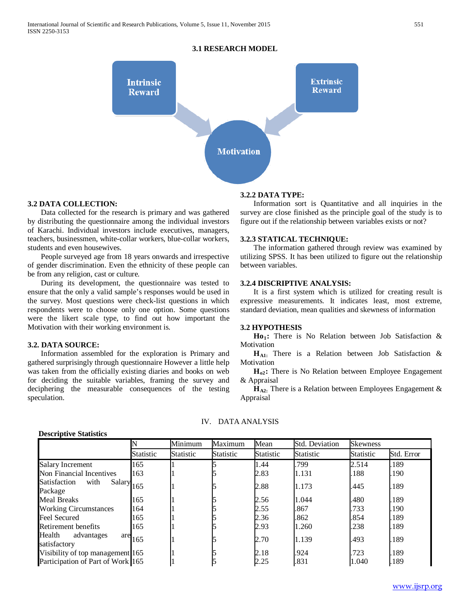## **3.1 RESEARCH MODEL**



## **3.2 DATA COLLECTION:**

 Data collected for the research is primary and was gathered by distributing the questionnaire among the individual investors of Karachi. Individual investors include executives, managers, teachers, businessmen, white-collar workers, blue-collar workers, students and even housewives.

 People surveyed age from 18 years onwards and irrespective of gender discrimination. Even the ethnicity of these people can be from any religion, cast or culture.

 During its development, the questionnaire was tested to ensure that the only a valid sample's responses would be used in the survey. Most questions were check-list questions in which respondents were to choose only one option. Some questions were the likert scale type, to find out how important the Motivation with their working environment is.

### **3.2. DATA SOURCE:**

 Information assembled for the exploration is Primary and gathered surprisingly through questionnaire However a little help was taken from the officially existing diaries and books on web for deciding the suitable variables, framing the survey and deciphering the measurable consequences of the testing speculation.

## **3.2.2 DATA TYPE:**

 Information sort is Quantitative and all inquiries in the survey are close finished as the principle goal of the study is to figure out if the relationship between variables exists or not?

#### **3.2.3 STATICAL TECHNIQUE:**

 The information gathered through review was examined by utilizing SPSS. It has been utilized to figure out the relationship between variables.

## **3.2.4 DISCRIPTIVE ANALYSIS:**

 It is a first system which is utilized for creating result is expressive measurements. It indicates least, most extreme, standard deviation, mean qualities and skewness of information

#### **3.2 HYPOTHESIS**

Ho<sub>1</sub>: There is No Relation between Job Satisfaction & Motivation

 **HA1:** There is a Relation between Job Satisfaction & Motivation

 **Ho2:** There is No Relation between Employee Engagement & Appraisal

**H**<sub>A2</sub>: There is a Relation between Employees Engagement & Appraisal

## IV. DATA ANALYSIS

| <b>Descriptive Statistics</b> |  |
|-------------------------------|--|
|                               |  |
|                               |  |

|                                                          |                  | Minimum   | Maximum          | Mean      | <b>Std. Deviation</b> | <b>Skewness</b> |            |
|----------------------------------------------------------|------------------|-----------|------------------|-----------|-----------------------|-----------------|------------|
|                                                          | <b>Statistic</b> | Statistic | <b>Statistic</b> | Statistic | <b>Statistic</b>      | Statistic       | Std. Error |
| <b>Salary Increment</b>                                  | 165              |           |                  | 1.44      | .799                  | 2.514           | .189       |
| Non Financial Incentives                                 | 163              |           |                  | 2.83      | 1.131                 | .188            | .190       |
| Satisfaction<br>with<br>Salary <sub>165</sub><br>Package |                  |           |                  | 2.88      | 1.173                 | .445            | .189       |
| <b>Meal Breaks</b>                                       | 165              |           |                  | 2.56      | 1.044                 | .480            | .189       |
| <b>Working Circumstances</b>                             | 164              |           |                  | 2.55      | .867                  | .733            | .190       |
| <b>Feel Secured</b>                                      | 165              |           |                  | 2.36      | .862                  | .854            | .189       |
| Retirement benefits                                      | 165              |           |                  | 2.93      | 1.260                 | .238            | .189       |
| Health<br>advantages<br>are<br>satisfactory              | 165              |           |                  | 2.70      | 1.139                 | .493            | .189       |
| Visibility of top management 165                         |                  |           |                  | 2.18      | .924                  | .723            | .189       |
| Participation of Part of Work 165                        |                  |           |                  | 2.25      | .831                  | 1.040           | .189       |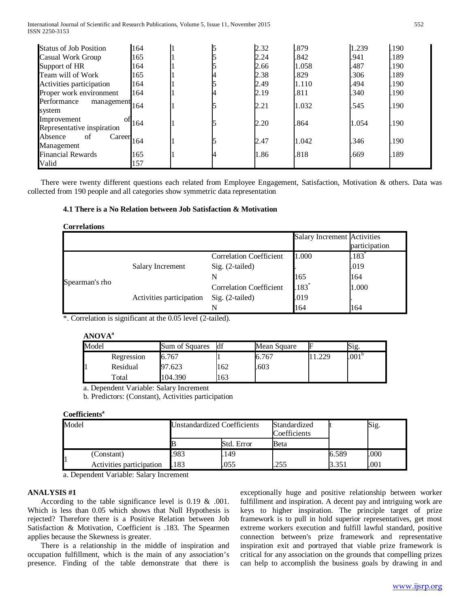| <b>Status of Job Position</b> | 164 |  | 2.32 | .879  | 1.239 | .190 |
|-------------------------------|-----|--|------|-------|-------|------|
| Casual Work Group             | 165 |  | 2.24 | .842  | .941  | .189 |
| Support of HR                 | 164 |  | 2.66 | 1.058 | .487  | .190 |
| Team will of Work             | 165 |  | 2.38 | .829  | .306  | .189 |
| Activities participation      | 164 |  | 2.49 | 1.110 | .494  | .190 |
| Proper work environment       | 164 |  | 2.19 | .811  | .340  | .190 |
| Performance<br>management.    | 164 |  | 2.21 | 1.032 | .545  | .190 |
| system                        |     |  |      |       |       |      |
| of<br>Improvement             | 164 |  | 2.20 | .864  | 1.054 | .190 |
| Representative inspiration    |     |  |      |       |       |      |
| of<br>Absence<br>Career.      | 164 |  | 2.47 | 1.042 | .346  | .190 |
| Management                    |     |  |      |       |       |      |
| <b>Financial Rewards</b>      | 165 |  | 1.86 | .818  | .669  | .189 |
| Valid                         | 157 |  |      |       |       |      |

 There were twenty different questions each related from Employee Engagement, Satisfaction, Motivation & others. Data was collected from 190 people and all categories show symmetric data representation

## **4.1 There is a No Relation between Job Satisfaction & Motivation**

**Correlations**

|                |                          |                                | <b>Salary Increment Activities</b> | participation |
|----------------|--------------------------|--------------------------------|------------------------------------|---------------|
|                |                          | <b>Correlation Coefficient</b> | 1.000                              | $.183*$       |
| Spearman's rho | Salary Increment         | Sig. (2-tailed)                |                                    | .019          |
|                |                          |                                | 165                                | 164           |
|                | Activities participation | <b>Correlation Coefficient</b> | $183*$                             | 1.000         |
|                |                          | Sig. (2-tailed)                | .019                               |               |
|                |                          |                                | 164                                | 164           |

\*. Correlation is significant at the 0.05 level (2-tailed).

**ANOVAa**

| Model |            | Sum of Squares | df  | Mean Square |     | Sig.              |  |
|-------|------------|----------------|-----|-------------|-----|-------------------|--|
|       | Regression | 6.767          |     | 6.767       | 229 | .001 <sup>b</sup> |  |
|       | Residual   | 97.623         | 162 | .603        |     |                   |  |
|       | Total      | 104.390        | 163 |             |     |                   |  |

a. Dependent Variable: Salary Increment

b. Predictors: (Constant), Activities participation

## **Coefficientsa**

| Model |                          | <b>Unstandardized Coefficients</b> |            | Standardized<br>Coefficients |       | Sig. |
|-------|--------------------------|------------------------------------|------------|------------------------------|-------|------|
|       |                          |                                    | Std. Error | Beta                         |       |      |
|       | (Constant)               | .983                               | 149        |                              | 6.589 | .000 |
| 11    | Activities participation | 183                                | .055       | 255                          | 3.351 | .001 |

a. Dependent Variable: Salary Increment

#### **ANALYSIS #1**

 According to the table significance level is 0.19 & .001. Which is less than 0.05 which shows that Null Hypothesis is rejected? Therefore there is a Positive Relation between Job Satisfaction & Motivation, Coefficient is .183. The Spearmen applies because the Skewness is greater.

 There is a relationship in the middle of inspiration and occupation fulfillment, which is the main of any association's presence. Finding of the table demonstrate that there is

exceptionally huge and positive relationship between worker fulfillment and inspiration. A decent pay and intriguing work are keys to higher inspiration. The principle target of prize framework is to pull in hold superior representatives, get most extreme workers execution and fulfill lawful standard, positive connection between's prize framework and representative inspiration exit and portrayed that viable prize framework is critical for any association on the grounds that compelling prizes can help to accomplish the business goals by drawing in and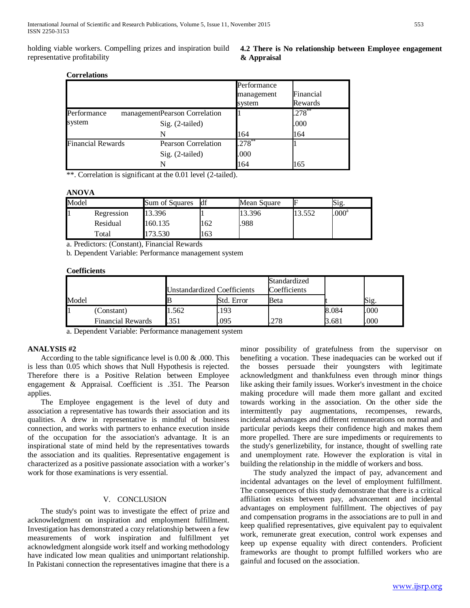holding viable workers. Compelling prizes and inspiration build representative profitability

## **4.2 There is No relationship between Employee engagement & Appraisal**

## **Correlations**

|                          |                                | Performance |             |
|--------------------------|--------------------------------|-------------|-------------|
|                          |                                | management  | Financial   |
|                          |                                | system      | Rewards     |
| Performance              | management Pearson Correlation |             | $.278^{**}$ |
| system                   | Sig. (2-tailed)                |             | .000        |
|                          |                                | 164         | 164         |
| <b>Financial Rewards</b> | <b>Pearson Correlation</b>     | $.278***$   |             |
|                          | Sig. (2-tailed)                | .000        |             |
|                          |                                | 164         | 165         |

\*\*. Correlation is significant at the 0.01 level (2-tailed).

## **ANOVA**

| Model |            | Sum of Squares | df  | Mean Square | ⊩     | Sig.           |  |
|-------|------------|----------------|-----|-------------|-------|----------------|--|
| Ш     | Regression | 13.396         |     | 13.396      | 3.552 | $.000^{\rm a}$ |  |
|       | Residual   | 160.135        | 162 | .988        |       |                |  |
|       | Total      | 73.530         | 163 |             |       |                |  |

a. Predictors: (Constant), Financial Rewards

b. Dependent Variable: Performance management system

## **Coefficients**

|       |                          | Unstandardized Coefficients |            | Standardized<br>Coefficients |       |      |
|-------|--------------------------|-----------------------------|------------|------------------------------|-------|------|
| Model |                          |                             | Std. Error | Beta                         |       | Sig. |
|       | (Constant)               | 1.562                       | 193        |                              | 8.084 | .000 |
|       | <b>Financial Rewards</b> | 351                         | .095       | .278                         | 3.681 | .000 |

a. Dependent Variable: Performance management system

## **ANALYSIS #2**

 According to the table significance level is 0.00 & .000. This is less than 0.05 which shows that Null Hypothesis is rejected. Therefore there is a Positive Relation between Employee engagement & Appraisal. Coefficient is .351. The Pearson applies.

 The Employee engagement is the level of duty and association a representative has towards their association and its qualities. A drew in representative is mindful of business connection, and works with partners to enhance execution inside of the occupation for the association's advantage. It is an inspirational state of mind held by the representatives towards the association and its qualities. Representative engagement is characterized as a positive passionate association with a worker's work for those examinations is very essential.

## V. CONCLUSION

 The study's point was to investigate the effect of prize and acknowledgment on inspiration and employment fulfillment. Investigation has demonstrated a cozy relationship between a few measurements of work inspiration and fulfillment yet acknowledgment alongside work itself and working methodology have indicated low mean qualities and unimportant relationship. In Pakistani connection the representatives imagine that there is a

minor possibility of gratefulness from the supervisor on benefiting a vocation. These inadequacies can be worked out if the bosses persuade their youngsters with legitimate acknowledgment and thankfulness even through minor things like asking their family issues. Worker's investment in the choice making procedure will made them more gallant and excited towards working in the association. On the other side the intermittently pay augmentations, recompenses, rewards, incidental advantages and different remunerations on normal and particular periods keeps their confidence high and makes them more propelled. There are sure impediments or requirements to the study's generlizebility, for instance, thought of swelling rate and unemployment rate. However the exploration is vital in building the relationship in the middle of workers and boss.

 The study analyzed the impact of pay, advancement and incidental advantages on the level of employment fulfillment. The consequences of this study demonstrate that there is a critical affiliation exists between pay, advancement and incidental advantages on employment fulfillment. The objectives of pay and compensation programs in the associations are to pull in and keep qualified representatives, give equivalent pay to equivalent work, remunerate great execution, control work expenses and keep up expense equality with direct contenders. Proficient frameworks are thought to prompt fulfilled workers who are gainful and focused on the association.